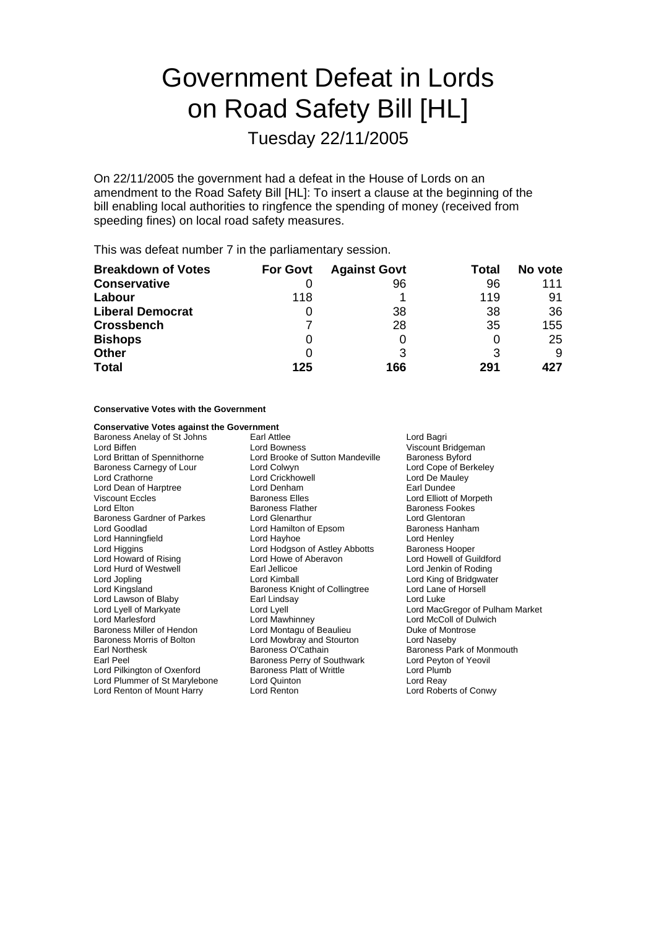# Government Defeat in Lords on Road Safety Bill [HL]

Tuesday 22/11/2005

On 22/11/2005 the government had a defeat in the House of Lords on an amendment to the Road Safety Bill [HL]: To insert a clause at the beginning of the bill enabling local authorities to ringfence the spending of money (received from speeding fines) on local road safety measures.

This was defeat number 7 in the parliamentary session.

| <b>Breakdown of Votes</b> | <b>For Govt</b> | <b>Against Govt</b> | Total | No vote |
|---------------------------|-----------------|---------------------|-------|---------|
| <b>Conservative</b>       |                 | 96                  | 96    | 111     |
| Labour                    | 118             |                     | 119   | 91      |
| <b>Liberal Democrat</b>   | 0               | 38                  | 38    | 36      |
| <b>Crossbench</b>         |                 | 28                  | 35    | 155     |
| <b>Bishops</b>            | O               |                     | O     | 25      |
| <b>Other</b>              | O               |                     | 3     | 9       |
| <b>Total</b>              | 125             | 166                 | 291   | 427     |

### **Conservative Votes with the Government**

#### **Conservative Votes against the Government**

Baroness Carnegy of Lour Lord Colwyn<br>Lord Crathorne Lord Crickhowell Lord Hanningfield<br>Lord Higgins Lord Hurd of Westwell **Earl Jellicoe**<br>
Lord Jopling Communication Cord Kimball Lord Kingsland Baroness Knight of Collingtree Baroness Morris of Bolton Lord Mowbray and Stourton<br>
Earl Northesk Contain Baroness O'Cathain Lord Plummer of St Marylebone

Baroness Anelay of St Johns Earl Attlee Earl Attlee Lord Bagri<br>
Lord Biffen Cord Bowness Cord Bowness Cord Biffen Cord Bagri Lord Biffen **Communist Communist Communist Communist Communist Communist Communist Communist Communist Communist Communist Communist Communist Communist Communist Communist Communist Communist Communist Communist Communist** Lord Brooke of Sutton Mandeville Baroness Byford<br>
Lord Colwyn<br>
Lord Cope of Berkeley Lord Crathorne **Lord Crickhowell** Lord Crickhowell **Lord De Mauley** Lord Dean of Harptree **Lord Denham** Earl Dundee<br>
Viscount Eccles **Container Baroness** Elles **Lord Elliott** Dundee Viscount Eccles **Constant Constant Baroness Elles** Elles Lord Elliott of Morpeth<br>Lord Elton Lord Elton **Constant Baroness Elather** Baroness Fookes Baroness Flather **Baroness Fookes** Baroness Gardner of Parkes Lord Glenarthur Lord Guenness Gardner of Parkes Lord Glentoran<br>
Lord Goodlad Cord Hamilton of Epsom Baroness Hanham Lord Hamilton of Epsom Baroness Hanness Hanness Hanness Hannes<br>
Lord Havhoe Baroness Hannes Lord Higgins **Lord Hodgson of Astley Abbotts** Baroness Hooper<br>
Lord Howard of Rising **Lord Howe CON** Lord Howell of Gund Howell of Gund Howell of Gund Howell of Gund Howell of Gu Lord Howe of Aberavon<br>
Earl Jellicoe 
Lord Jenkin of Roding Lord Jopling The Lord Kimball Lord King of Bridgwater<br>
Lord Kingsland The Baroness Knight of Collingtree Lord Lane of Horsell Lord Lawson of Blaby **Earl Lindsay** Earl Lindsay **Conditional Lord Luke**<br>
Lord Lyell of Markyate **Lord Lyell** Cord Lyell **Lord Markyate** Baroness Miller of Hendon Lord Montagu of Beaulieu Duke of Montrose<br>
Baroness Morris of Bolton Lord Mowbray and Stourton Lord Naseby Earl Northesk **Baroness O'Cathain** Baroness Park of Monmouth<br>Earl Peel **Baroness Park of Southwark** Baroness Perry of Southwark Lord Peyton of Yeovil Baroness Perry of Southwark<br>Baroness Platt of Writtle Lord Pilkington of Oxenford Baroness Platt of Writtle **Baroness Platt Conditable Conditable** Lord Reav<br>
Lord Plummer of St Marvlebone Lord Quinton Lord Renton of Mount Harry Lord Renton Lord Roberts of Conwy

Lord Lyell of Markyate Lord Lyell Lord Lyell Lord Lyell Lord MacGregor of Pulham Market<br>
Lord Marlesford Lord Machinney Lord McColl of Dulwich Lord Marlesford Lord Mawhinney Lord McColl of Dulwich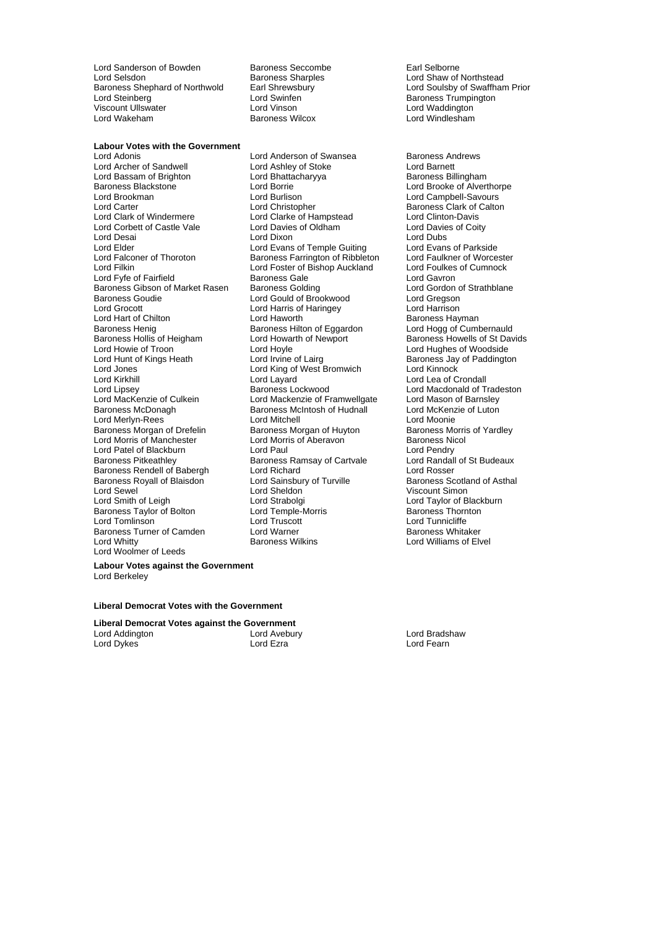Lord Sanderson of Bowden Baroness Seccombe Earl Selborne<br>
Lord Selsdon Baroness Sharples Early Research Lord Shaw of I Lord Selsdon **Baroness Sharples** Lord Shaw of Northstead Caroness Sharples Lord Shaw of Northstead<br>Baroness Shephard of Northwold Earl Shrewsbury **Lord Soulsby of Swaffhan** Lord Steinberg **Lord Swinfen**<br>
Lord Steinberg **Lord Steinberg Lord Steinberg Lord Vinson**<br>
Lord Vinson **Baroness Trumpington**<br>
Lord Vinson Viscount Ullswater Lord Vinson Lord Waddington

Baroness Wilcox

**Labour Votes with the Government**

Lord Archer of Sandwell Lord Ashley of Stoke Lord Barnett Lord Bassam of Brighton Lord Bhatta<br>Baroness Blackstone **Baroness Baroness Baroness** Lord Borrie Lord Brookman Lord Burlison Lord Burlison Lord Burlison Lord Campbell-Savours<br>Lord Carter Lord Campbell-Savours Lord Campbell-Savours Lord Carter **Lord Christopher** Communist Clarter Calton<br>
Lord Clark of Windermere Lord Clarke of Hampstead **Lord Clinton-Davis** Lord Corbett of Castle Vale Lord Desai Lord Dixon Lord Dubs Lord Elder Lord Evans of Temple Guiting Lord Evans of Parkside<br>
Lord Ealconer of Thoroton Baroness Farrington of Ribbleton Lord Faulkner of Worcester Lord Falconer of Thoroton Baroness Farrington of Ribbleton Lord Filkiner Corp.<br>1999 Lord Foster of Bishop Auckland Lord Fyfe of Fairfield **Baroness Gale** Lord Gavron<br>Baroness Gale Lord Gavron<br>Baroness Gibson of Market Rasen Baroness Golding Lord Gordon of Strathblane Baroness Gibson of Market Rasen Baroness Golding **Baroness Colding** Lord Gordon c<br>Baroness Goudie **Colline Cold Cold Cold of Brookwood** Lord Gregson Lord Grocott Lord Harris of Haringey Lord Harrison Lord Hart of Chilton **Lord Haworth** Cord Haworth Cord Baroness Hayman<br>Baroness Henig Baroness Hilton of Eggardon Lord Hogg of Cumbernauld Baroness Hollis of Heigham Lord Howie of Troon **Lord Hoyle** Lord Hoyle **Lord Hughes of Woodside**<br>
Lord Hunt of Kings Heath **Lord Lord Irvine of Lairg** Baroness Jav of Paddingto Lord Hunt of Kings Heath Lord Irvine of Lairg Baroness Jay of Paddington<br>
Lord Jones Cord King of West Bromwich Lord Kinnock<br>
Lord Jones Cord King of West Bromwich Lord Kinnock Lord Jones Lord King of West Bromwich<br>Lord Kirkhill Lord Layard Lord Lipsey **Baroness Lockwood** Lord Macdonald of Tradeston<br>Lord MacKenzie of Culkein Lord Mackenzie of Framwellgate Lord Mason of Barnsley Lord MacKenzie of Culkein Lord Mackenzie of Framwellgate Lord Mason of Barnsley<br>Baroness McDonagh Baroness McIntosh of Hudnall Lord McKenzie of Luton Lord Merlyn-Rees<br>
Lord Moonie Cord Mitchell Lord Mitchell<br>
Baroness Morgan of Drefelin Baroness Morgan of Huyton Baroness Morris of Yardley Baroness Morgan of Drefelin Baroness Morgan of Huyton Baroness Morris Morris Correct Morris Correct Baroness Mor<br>Lord Morris of Manchester Lord Morris of Aberavon Baroness Nicol Lord Morris of Manchester Lord Morris of Aberavon<br>
Lord Patel of Blackburn Lord Paul Lord Paul Lord Pendry Lord Patel of Blackburn Lord Paul Lord Paul Lord Pendry<br>
Baroness Pitkeathley Baroness Ramsay of Cartvale Lord Randall of St Budeaux Baroness Rendell of Babergh Lord Richard Lord Rosser<br>
Baroness Rendell of Babergh Lord Richard Lord Rosser<br>
Baroness Royall of Blaisdon Lord Sainsbury of Turville Baroness Scotland of Asthal Baroness Royall of Blaisdon Lord Sewel **Communist Communist Lord Sheldon**<br>
Lord Smith of Leigh **Communist Communist Communist Communist Communist Communist Communist Communist Communist Communist Communist Communist Communist Communist Communist Comm** Baroness Taylor of Bolton Lord Temple-Baroness Turner of Camden Lord Warner<br>Lord Whitty Lord White Lord Woolmer of Leeds

Lord Adonis Lord Anderson of Swansea Baroness Andrews Lord Clarke of Hampstead Lord Clinton-Davis<br>Cord Davies of Oldham Lord Davies of Coity Lord Foster of Bishop Auckland Lord Foulkes of Cumnock Lord Gould of Brookwood Lord Gregson<br>
Lord Harris of Haringey Lord Harrison Baroness Hilton of Eggardon Lord Hogg of Cumbernauld<br>
Lord Howarth of Newport Baroness Howells of St Davids Lord Layard **Lord Lea of Crondall** Baroness McIntosh of Hudnall Baroness Ramsay of Cartvale Lord Randall<br>
Lord Richard Cartvale Lord Rosser Lord Strabolgi **Lord Taylor of Blackburn**<br>
Lord Temple-Morris **Container Baroness Thornton** 

Earl Shrewsbury **Shephard Earl Shephard Earl Shephard Earl Shephard Earl Shephard Earl Shephard Earl Shephard E**<br>Baroness Trumpington

Lord Brooke of Alverthorpe Lord Tunnicliffe<br>Baroness Whitaker Lord Williams of Elvel

**Labour Votes against the Government** Lord Berkeley

#### **Liberal Democrat Votes with the Government**

**Liberal Democrat Votes against the Government** Lord Addington **Lord Avebury** Cord Avebury Cord Bradshaw<br>
Lord Dykes **Lord Exame Lord Exame Cord Exame Cord Brad** Lord Fearn Lord Dykes